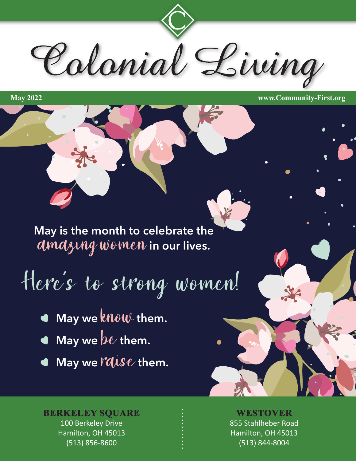Colonial Living

**May 2022 www.Community-First.org**

**May is the month to celebrate the**  amazing women **in our lives.**

# Here's to strong women!

- **May we** know **them.**
- **May we** be them.
- **May we l'aise them.**

### **BERKELEY SQUARE WESTOVER**

100 Berkeley Drive Hamilton, OH 45013 (513) 856-8600

### 855 Stahlheber Road Hamilton, OH 45013 (513) 844-8004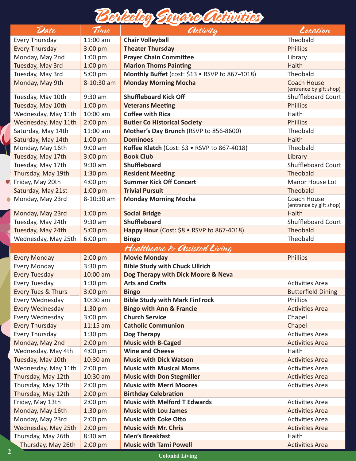

| Date                          | Time       | <i><b>Activity</b></i>                         | Location                                      |  |  |
|-------------------------------|------------|------------------------------------------------|-----------------------------------------------|--|--|
| Every Thursday                | 11:00 am   | <b>Chair Volleyball</b>                        | Theobald                                      |  |  |
| <b>Every Thursday</b>         | $3:00$ pm  | <b>Theater Thursday</b>                        | <b>Phillips</b>                               |  |  |
| Monday, May 2nd               | $1:00$ pm  | <b>Prayer Chain Committee</b>                  | Library                                       |  |  |
| Tuesday, May 3rd              | $1:00$ pm  | <b>Marion Thoms Painting</b>                   | Haith                                         |  |  |
| Tuesday, May 3rd              | 5:00 pm    | Monthly Buffet (cost: \$13 · RSVP to 867-4018) | Theobald                                      |  |  |
| Monday, May 9th               | 8-10:30 am | <b>Monday Morning Mocha</b>                    | <b>Coach House</b><br>(entrance by gift shop) |  |  |
| Tuesday, May 10th             | $9:30$ am  | <b>Shuffleboard Kick Off</b>                   | Shuffleboard Court                            |  |  |
| Tuesday, May 10th             | $1:00$ pm  | <b>Veterans Meeting</b>                        | <b>Phillips</b>                               |  |  |
| Wednesday, May 11th           | 10:00 am   | <b>Coffee with Rica</b>                        | Haith                                         |  |  |
| Wednesday, May 11th           | $2:00$ pm  | <b>Butler Co Historical Society</b>            | <b>Phillips</b>                               |  |  |
| Saturday, May 14th            | 11:00 am   | Mother's Day Brunch (RSVP to 856-8600)         | Theobald                                      |  |  |
| Saturday, May 14th            | $1:00$ pm  | <b>Dominoes</b>                                | Haith                                         |  |  |
| Monday, May 16th              | $9:00$ am  | Koffee Klatch (Cost: \$3 · RSVP to 867-4018)   | Theobald                                      |  |  |
| Tuesday, May 17th             | 3:00 pm    | <b>Book Club</b>                               | Library                                       |  |  |
| Tuesday, May 17th             | $9:30$ am  | <b>Shuffleboard</b>                            | <b>Shuffleboard Court</b>                     |  |  |
| Thursday, May 19th            | $1:30$ pm  | <b>Resident Meeting</b>                        | Theobald                                      |  |  |
| Friday, May 20th              | $4:00$ pm  | <b>Summer Kick Off Concert</b>                 | Manor House Lot                               |  |  |
| Saturday, May 21st            | $1:00$ pm  | <b>Trivial Pursuit</b>                         | Theobald                                      |  |  |
| Monday, May 23rd              | 8-10:30 am | <b>Monday Morning Mocha</b>                    | Coach House<br>(entrance by gift shop)        |  |  |
| Monday, May 23rd              | $1:00$ pm  | <b>Social Bridge</b>                           | Haith                                         |  |  |
| Tuesday, May 24th             | $9:30$ am  | <b>Shuffleboard</b>                            | <b>Shuffleboard Court</b>                     |  |  |
| Tuesday, May 24th             | 5:00 pm    | Happy Hour (Cost: \$8 • RSVP to 867-4018)      | Theobald                                      |  |  |
| Wednesday, May 25th           | $6:00$ pm  | <b>Bingo</b>                                   | Theobald                                      |  |  |
| Healthcare & Assisted Living  |            |                                                |                                               |  |  |
| <b>Every Monday</b>           | $2:00$ pm  | <b>Movie Monday</b>                            | <b>Phillips</b>                               |  |  |
| <b>Every Monday</b>           | 3:30 pm    | <b>Bible Study with Chuck Ullrich</b>          |                                               |  |  |
| <b>Every Tuesday</b>          | 10:00 am   | Dog Therapy with Dick Moore & Neva             |                                               |  |  |
| <b>Every Tuesday</b>          | 1:30 pm    | <b>Arts and Crafts</b>                         | <b>Activities Area</b>                        |  |  |
| <b>Every Tues &amp; Thurs</b> | $3:00$ pm  | <b>Bingo</b>                                   | <b>Butterfield Dining</b>                     |  |  |
| Every Wednesday               | 10:30 am   | <b>Bible Study with Mark FinFrock</b>          | Phillips                                      |  |  |
| <b>Every Wednesday</b>        | $1:30$ pm  | <b>Bingo with Ann &amp; Francie</b>            | <b>Activities Area</b>                        |  |  |
| Every Wednesday               | $3:00$ pm  | <b>Church Service</b>                          | Chapel                                        |  |  |
| <b>Every Thursday</b>         | $11:15$ am | <b>Catholic Communion</b>                      | Chapel                                        |  |  |
| Every Thursday                | 1:30 pm    | <b>Dog Therapy</b>                             | <b>Activities Area</b>                        |  |  |
| Monday, May 2nd               | $2:00$ pm  | <b>Music with B-Caged</b>                      | <b>Activities Area</b>                        |  |  |
| Wednesday, May 4th            | 4:00 pm    | <b>Wine and Cheese</b>                         | Haith                                         |  |  |
| Tuesday, May 10th             | 10:30 am   | <b>Music with Dick Watson</b>                  | <b>Activities Area</b>                        |  |  |
| Wednesday, May 11th           | 2:00 pm    | <b>Music with Musical Moms</b>                 | <b>Activities Area</b>                        |  |  |
| Thursday, May 12th            | 10:30 am   | <b>Music with Don Stegmiller</b>               | <b>Activities Area</b>                        |  |  |
| Thursday, May 12th            | $2:00$ pm  | <b>Music with Merri Moores</b>                 | <b>Activities Area</b>                        |  |  |
| Thursday, May 12th            | $2:00$ pm  | <b>Birthday Celebration</b>                    |                                               |  |  |
| Friday, May 13th              | $2:00$ pm  | <b>Music with Melford T Edwards</b>            | <b>Activities Area</b>                        |  |  |
| Monday, May 16th              | 1:30 pm    | <b>Music with Lou James</b>                    | <b>Activities Area</b>                        |  |  |
| Monday, May 23rd              | $2:00$ pm  | <b>Music with Coke Otto</b>                    | <b>Activities Area</b>                        |  |  |
| Wednesday, May 25th           | $2:00$ pm  | <b>Music with Mr. Chris</b>                    | <b>Activities Area</b>                        |  |  |
| Thursday, May 26th            | 8:30 am    | <b>Men's Breakfast</b>                         | Haith                                         |  |  |
| Thursday, May 26th            | $2:00$ pm  | <b>Music with Tami Powell</b>                  | <b>Activities Area</b>                        |  |  |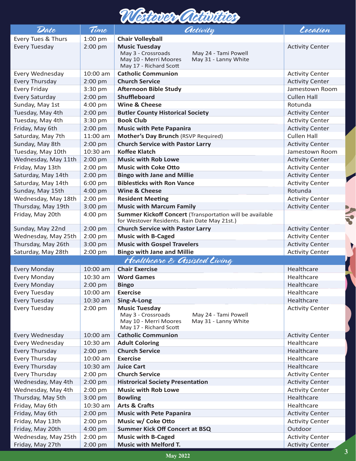## *Westover Activities*

| Date                | Time       | <i><b>Activity</b></i>                                                                                                                        | Location               |
|---------------------|------------|-----------------------------------------------------------------------------------------------------------------------------------------------|------------------------|
| Every Tues & Thurs  | $1:00$ pm  | <b>Chair Volleyball</b>                                                                                                                       |                        |
| Every Tuesday       | $2:00$ pm  | <b>Music Tuesday</b><br>May 3 - Crossroads<br>May 24 - Tami Powell<br>May 10 - Merri Moores<br>May 31 - Lanny White<br>May 17 - Richard Scott | <b>Activity Center</b> |
| Every Wednesday     | 10:00 am   | <b>Catholic Communion</b>                                                                                                                     | <b>Activity Center</b> |
| Every Thursday      | $2:00$ pm  | <b>Church Service</b>                                                                                                                         | <b>Activity Center</b> |
| <b>Every Friday</b> | 3:30 pm    | <b>Afternoon Bible Study</b>                                                                                                                  | Jamestown Room         |
| Every Saturday      | $2:00$ pm  | <b>Shuffleboard</b>                                                                                                                           | <b>Cullen Hall</b>     |
| Sunday, May 1st     | 4:00 pm    | Wine & Cheese                                                                                                                                 | Rotunda                |
| Tuesday, May 4th    | 2:00 pm    | <b>Butler County Historical Society</b>                                                                                                       | <b>Activity Center</b> |
| Tuesday, May 4th    | 3:30 pm    | <b>Book Club</b>                                                                                                                              | <b>Activity Center</b> |
| Friday, May 6th     | 2:00 pm    | <b>Music with Pete Papanira</b>                                                                                                               | <b>Activity Center</b> |
| Saturday, May 7th   | 11:00 am   | Mother's Day Brunch (RSVP Required)                                                                                                           | <b>Cullen Hall</b>     |
| Sunday, May 8th     | $2:00$ pm  | <b>Church Service with Pastor Larry</b>                                                                                                       | <b>Activity Center</b> |
| Tuesday, May 10th   | 10:30 am   | <b>Koffee Klatch</b>                                                                                                                          | Jamestown Room         |
| Wednesday, May 11th | $2:00$ pm  | <b>Music with Rob Lowe</b>                                                                                                                    | <b>Activity Center</b> |
| Friday, May 13th    | 2:00 pm    | <b>Music with Coke Otto</b>                                                                                                                   | <b>Activity Center</b> |
| Saturday, May 14th  | $2:00$ pm  | <b>Bingo with Jane and Millie</b>                                                                                                             | <b>Activity Center</b> |
| Saturday, May 14th  | 6:00 pm    | <b>Biblesticks with Ron Vance</b>                                                                                                             | <b>Activity Center</b> |
| Sunday, May 15th    | 4:00 pm    | <b>Wine &amp; Cheese</b>                                                                                                                      | Rotunda                |
| Wednesday, May 18th | $2:00$ pm  | <b>Resident Meeting</b>                                                                                                                       | <b>Activity Center</b> |
| Thursday, May 19th  | 3:00 pm    | <b>Music with Marcum Family</b>                                                                                                               | <b>Activity Center</b> |
| Friday, May 20th    | 4:00 pm    | Summer Kickoff Concert (Transportation will be available<br>for Westover Residents. Rain Date May 21st.)                                      |                        |
| Sunday, May 22nd    | $2:00$ pm  | <b>Church Service with Pastor Larry</b>                                                                                                       | <b>Activity Center</b> |
| Wednesday, May 25th | 2:00 pm    | <b>Music with B-Caged</b>                                                                                                                     | <b>Activity Center</b> |
| Thursday, May 26th  | 3:00 pm    | <b>Music with Gospel Travelers</b>                                                                                                            | <b>Activity Center</b> |
| Saturday, May 28th  | $2:00$ pm  | <b>Bingo with Jane and Millie</b>                                                                                                             | <b>Activity Center</b> |
|                     |            | Healthcare & Assisted Living                                                                                                                  |                        |
| Every Monday        | 10:00 am   | <b>Chair Exercise</b>                                                                                                                         | Healthcare             |
| Every Monday        | 10:30 am   | <b>Word Games</b>                                                                                                                             | Healthcare             |
| Every Monday        | 2:00 pm    | <b>Bingo</b>                                                                                                                                  | Healthcare             |
| Every Tuesday       | $10:00$ am | <b>Exercise</b>                                                                                                                               | Healthcare             |
| Every Tuesday       | 10:30 am   | Sing-A-Long                                                                                                                                   | Healthcare             |
| Every Tuesday       | $2:00$ pm  | <b>Music Tuesday</b><br>May 3 - Crossroads<br>May 24 - Tami Powell<br>May 10 - Merri Moores<br>May 31 - Lanny White<br>May 17 - Richard Scott | <b>Activity Center</b> |
| Every Wednesday     | 10:00 am   | <b>Catholic Communion</b>                                                                                                                     | <b>Activity Center</b> |
| Every Wednesday     | 10:30 am   | <b>Adult Coloring</b>                                                                                                                         | Healthcare             |
| Every Thursday      | $2:00$ pm  | <b>Church Service</b>                                                                                                                         | Healthcare             |
| Every Thursday      | 10:00 am   | <b>Exercise</b>                                                                                                                               | Healthcare             |
| Every Thursday      | 10:30 am   | <b>Juice Cart</b>                                                                                                                             | Healthcare             |
| Every Thursday      | 2:00 pm    | <b>Church Service</b>                                                                                                                         | <b>Activity Center</b> |
| Wednesday, May 4th  | $2:00$ pm  | <b>Histrorical Society Presentation</b>                                                                                                       | <b>Activity Center</b> |
| Wednesday, May 4th  | 2:00 pm    | <b>Music with Rob Lowe</b>                                                                                                                    | <b>Activity Center</b> |
| Thursday, May 5th   | 3:00 pm    | <b>Bowling</b>                                                                                                                                | Healthcare             |
| Friday, May 6th     | 10:30 am   | <b>Arts &amp; Crafts</b>                                                                                                                      | Healthcare             |
| Friday, May 6th     | $2:00$ pm  | <b>Music with Pete Papanira</b>                                                                                                               | <b>Activity Center</b> |
| Friday, May 13th    | 2:00 pm    | Music w/ Coke Otto                                                                                                                            | <b>Activity Center</b> |
| Friday, May 20th    | 4:00 pm    | <b>Summer Kick Off Concert at BSQ</b>                                                                                                         | Outdoor                |
| Wednesday, May 25th | 2:00 pm    | <b>Music with B-Caged</b>                                                                                                                     | <b>Activity Center</b> |
| Friday, May 27th    | $2:00$ pm  | <b>Music with Melford T.</b>                                                                                                                  | <b>Activity Center</b> |

XIX

 $\overline{\mathbf{v}}$